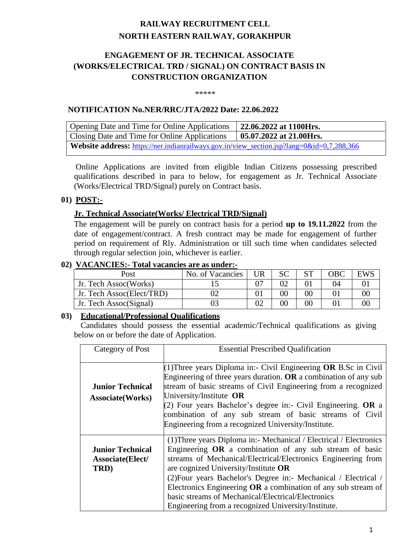# **RAILWAY RECRUITMENT CELL NORTH EASTERN RAILWAY, GORAKHPUR**

# **ENGAGEMENT OF JR. TECHNICAL ASSOCIATE (WORKS/ELECTRICAL TRD / SIGNAL) ON CONTRACT BASIS IN CONSTRUCTION ORGANIZATION**

\*\*\*\*\*

#### **NOTIFICATION No.NER/RRC/JTA/2022 Date: 22.06.2022**

| Opening Date and Time for Online Applications                                                    | 22.06.2022 at 1100Hrs.          |
|--------------------------------------------------------------------------------------------------|---------------------------------|
| Closing Date and Time for Online Applications                                                    | $\vert$ 05.07.2022 at 21.00Hrs. |
| <b>Website address:</b> https://ner.indianrailways.gov.in/view_section.jsp?lang=0&id=0,7,288,366 |                                 |

Online Applications are invited from eligible Indian Citizens possessing prescribed qualifications described in para to below, for engagement as Jr. Technical Associate (Works/Electrical TRD/Signal) purely on Contract basis.

### **01) POST:-**

#### **Jr. Technical Associate(Works/ Electrical TRD/Signal)**

The engagement will be purely on contract basis for a period **up to 19.11.2022** from the date of engagement/contract. A fresh contract may be made for engagement of further period on requirement of Rly. Administration or till such time when candidates selected through regular selection join, whichever is earlier.

#### **02) VACANCIES:- Total vacancies are as under:-**

| Post                      | No. of Vacancies | UR | <b>SC</b> |    | OBC | EWS |  |  |
|---------------------------|------------------|----|-----------|----|-----|-----|--|--|
| Jr. Tech Assoc(Works)     |                  |    |           |    |     |     |  |  |
| Jr. Tech Assoc(Elect/TRD) |                  |    |           | 00 |     |     |  |  |
| Jr. Tech Assoc(Signal)    |                  |    |           | 90 |     |     |  |  |

#### **03) Educational/Professional Qualifications**

Candidates should possess the essential academic/Technical qualifications as giving below on or before the date of Application.

| Category of Post                                    | <b>Essential Prescribed Qualification</b>                                                                                                                                                                                                                                                                                                                                                                                                                                                   |  |  |  |
|-----------------------------------------------------|---------------------------------------------------------------------------------------------------------------------------------------------------------------------------------------------------------------------------------------------------------------------------------------------------------------------------------------------------------------------------------------------------------------------------------------------------------------------------------------------|--|--|--|
| <b>Junior Technical</b><br><b>Associate</b> (Works) | (1) Three years Diploma in:- Civil Engineering <b>OR</b> B.Sc in Civil<br>Engineering of three years duration. OR a combination of any sub<br>stream of basic streams of Civil Engineering from a recognized<br>University/Institute OR<br>(2) Four years Bachelor's degree in:- Civil Engineering. OR a<br>combination of any sub stream of basic streams of Civil<br>Engineering from a recognized University/Institute.                                                                  |  |  |  |
| <b>Junior Technical</b><br>Associate(Elect/<br>TRD) | (1) Three years Diploma in:- Mechanical / Electrical / Electronics<br>Engineering $OR$ a combination of any sub stream of basic<br>streams of Mechanical/Electrical/Electronics Engineering from<br>are cognized University/Institute OR<br>(2) Four years Bachelor's Degree in:- Mechanical / Electrical /<br>Electronics Engineering $OR$ a combination of any sub stream of<br>basic streams of Mechanical/Electrical/Electronics<br>Engineering from a recognized University/Institute. |  |  |  |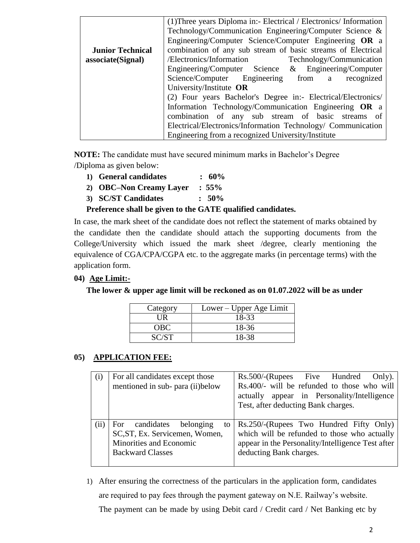|                         | (1) Three years Diploma in:- Electrical / Electronics/ Information |  |  |  |  |  |  |
|-------------------------|--------------------------------------------------------------------|--|--|--|--|--|--|
|                         | Technology/Communication Engineering/Computer Science &            |  |  |  |  |  |  |
|                         | Engineering/Computer Science/Computer Engineering OR a             |  |  |  |  |  |  |
| <b>Junior Technical</b> | combination of any sub stream of basic streams of Electrical       |  |  |  |  |  |  |
| associate(Signal)       | /Electronics/Information Technology/Communication                  |  |  |  |  |  |  |
|                         | Engineering/Computer Science & Engineering/Computer                |  |  |  |  |  |  |
|                         | Science/Computer Engineering from a recognized                     |  |  |  |  |  |  |
|                         | University/Institute OR                                            |  |  |  |  |  |  |
|                         | (2) Four years Bachelor's Degree in:- Electrical/Electronics/      |  |  |  |  |  |  |
|                         | Information Technology/Communication Engineering OR a              |  |  |  |  |  |  |
|                         | combination of any sub stream of basic streams of                  |  |  |  |  |  |  |
|                         | Electrical/Electronics/Information Technology/ Communication       |  |  |  |  |  |  |
|                         | Engineering from a recognized University/Institute                 |  |  |  |  |  |  |

**NOTE:** The candidate must have secured minimum marks in Bachelor's Degree /Diploma as given below:

- **1) General candidates : 60%**
- **2) OBC–Non Creamy Layer : 55%**
- **3) SC/ST Candidates : 50%**

### **Preference shall be given to the GATE qualified candidates.**

In case, the mark sheet of the candidate does not reflect the statement of marks obtained by the candidate then the candidate should attach the supporting documents from the College/University which issued the mark sheet /degree, clearly mentioning the equivalence of CGA/CPA/CGPA etc. to the aggregate marks (in percentage terms) with the application form.

### **04) Age Limit:-**

**The lower & upper age limit will be reckoned as on 01.07.2022 will be as under**

| Category | Lower – Upper Age Limit |
|----------|-------------------------|
| I IR     | 18-33                   |
| OBC      | 18-36                   |
| SC/ST    | 18-38                   |

### **05) APPLICATION FEE:**

| (i)  | For all candidates except those<br>mentioned in sub- para (ii) below                                                      | Rs.500/-(Rupees Five Hundred<br>Only).<br>Rs.400/- will be refunded to those who will<br>actually appear in Personality/Intelligence<br>Test, after deducting Bank charges. |  |  |  |  |  |
|------|---------------------------------------------------------------------------------------------------------------------------|-----------------------------------------------------------------------------------------------------------------------------------------------------------------------------|--|--|--|--|--|
| (ii) | candidates belonging<br>For<br>to<br>SC, ST, Ex. Servicemen, Women,<br>Minorities and Economic<br><b>Backward Classes</b> | Rs.250/-(Rupees Two Hundred Fifty Only)<br>which will be refunded to those who actually<br>appear in the Personality/Intelligence Test after<br>deducting Bank charges.     |  |  |  |  |  |

1) After ensuring the correctness of the particulars in the application form, candidates are required to pay fees through the payment gateway on N.E. Railway's website. The payment can be made by using Debit card / Credit card / Net Banking etc by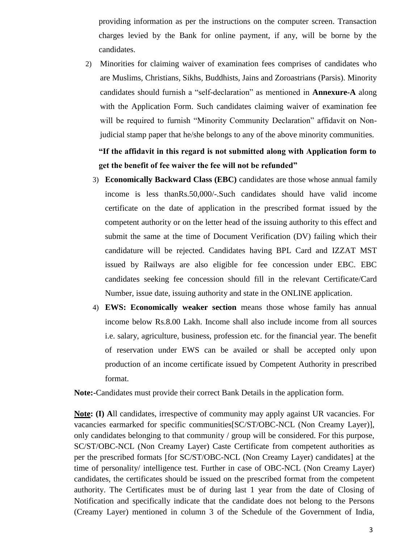providing information as per the instructions on the computer screen. Transaction charges levied by the Bank for online payment, if any, will be borne by the candidates.

2) Minorities for claiming waiver of examination fees comprises of candidates who are Muslims, Christians, Sikhs, Buddhists, Jains and Zoroastrians (Parsis). Minority candidates should furnish a "self-declaration" as mentioned in **Annexure-A** along with the Application Form. Such candidates claiming waiver of examination fee will be required to furnish "Minority Community Declaration" affidavit on Nonjudicial stamp paper that he/she belongs to any of the above minority communities.

# **"If the affidavit in this regard is not submitted along with Application form to get the benefit of fee waiver the fee will not be refunded"**

- 3) **Economically Backward Class (EBC)** candidates are those whose annual family income is less thanRs.50,000/-.Such candidates should have valid income certificate on the date of application in the prescribed format issued by the competent authority or on the letter head of the issuing authority to this effect and submit the same at the time of Document Verification (DV) failing which their candidature will be rejected. Candidates having BPL Card and IZZAT MST issued by Railways are also eligible for fee concession under EBC. EBC candidates seeking fee concession should fill in the relevant Certificate/Card Number, issue date, issuing authority and state in the ONLINE application.
- 4) **EWS: Economically weaker section** means those whose family has annual income below Rs.8.00 Lakh. Income shall also include income from all sources i.e. salary, agriculture, business, profession etc. for the financial year. The benefit of reservation under EWS can be availed or shall be accepted only upon production of an income certificate issued by Competent Authority in prescribed format.

**Note:-**Candidates must provide their correct Bank Details in the application form.

**Note: (I) A**ll candidates, irrespective of community may apply against UR vacancies. For vacancies earmarked for specific communities[SC/ST/OBC-NCL (Non Creamy Layer)], only candidates belonging to that community / group will be considered. For this purpose, SC/ST/OBC-NCL (Non Creamy Layer) Caste Certificate from competent authorities as per the prescribed formats [for SC/ST/OBC-NCL (Non Creamy Layer) candidates] at the time of personality/ intelligence test. Further in case of OBC-NCL (Non Creamy Layer) candidates, the certificates should be issued on the prescribed format from the competent authority. The Certificates must be of during last 1 year from the date of Closing of Notification and specifically indicate that the candidate does not belong to the Persons (Creamy Layer) mentioned in column 3 of the Schedule of the Government of India,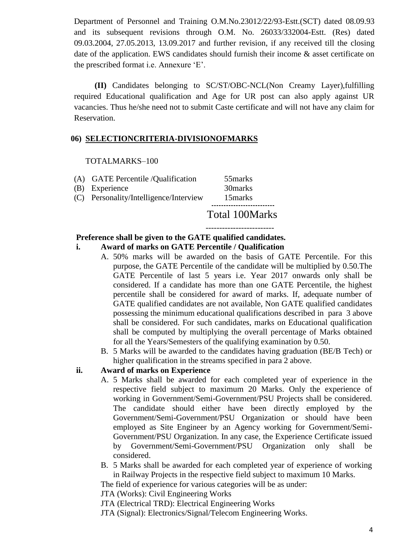Department of Personnel and Training O.M.No.23012/22/93-Estt.(SCT) dated 08.09.93 and its subsequent revisions through O.M. No. 26033/332004-Estt. (Res) dated 09.03.2004, 27.05.2013, 13.09.2017 and further revision, if any received till the closing date of the application. EWS candidates should furnish their income & asset certificate on the prescribed format i.e. Annexure 'E'.

 **(II)** Candidates belonging to SC/ST/OBC-NCL(Non Creamy Layer),fulfilling required Educational qualification and Age for UR post can also apply against UR vacancies. Thus he/she need not to submit Caste certificate and will not have any claim for Reservation.

#### **06) SELECTIONCRITERIA-DIVISIONOFMARKS**

#### TOTALMARKS–100

- (A) GATE Percentile /Qualification 55marks (B) Experience 30marks
- (C) Personality/Intelligence/Interview 15marks

-------------------------

# Total 100Marks

# **Preference shall be given to the GATE qualified candidates.**

- **i. Award of marks on GATE Percentile / Qualification**
	- A. 50% marks will be awarded on the basis of GATE Percentile. For this purpose, the GATE Percentile of the candidate will be multiplied by 0.50.The GATE Percentile of last 5 years i.e. Year 2017 onwards only shall be considered. If a candidate has more than one GATE Percentile, the highest percentile shall be considered for award of marks. If, adequate number of GATE qualified candidates are not available, Non GATE qualified candidates possessing the minimum educational qualifications described in para 3 above shall be considered. For such candidates, marks on Educational qualification shall be computed by multiplying the overall percentage of Marks obtained for all the Years/Semesters of the qualifying examination by 0.50.
	- B. 5 Marks will be awarded to the candidates having graduation (BE/B Tech) or higher qualification in the streams specified in para 2 above.

### **ii. Award of marks on Experience**

- A. 5 Marks shall be awarded for each completed year of experience in the respective field subject to maximum 20 Marks. Only the experience of working in Government/Semi-Government/PSU Projects shall be considered. The candidate should either have been directly employed by the Government/Semi-Government/PSU Organization or should have been employed as Site Engineer by an Agency working for Government/Semi-Government/PSU Organization. In any case, the Experience Certificate issued by Government/Semi-Government/PSU Organization only shall be considered.
- B. 5 Marks shall be awarded for each completed year of experience of working in Railway Projects in the respective field subject to maximum 10 Marks.

The field of experience for various categories will be as under:

JTA (Works): Civil Engineering Works

JTA (Electrical TRD): Electrical Engineering Works

JTA (Signal): Electronics/Signal/Telecom Engineering Works.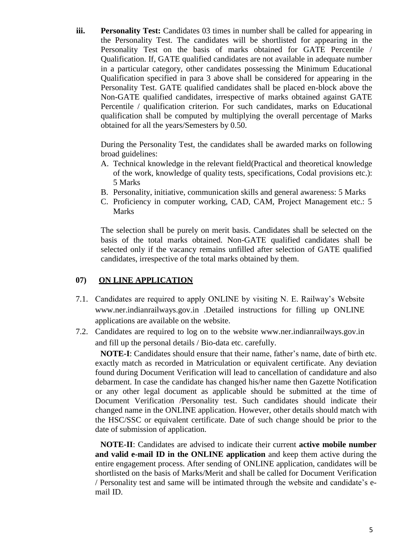**iii. Personality Test:** Candidates 03 times in number shall be called for appearing in the Personality Test. The candidates will be shortlisted for appearing in the Personality Test on the basis of marks obtained for GATE Percentile / Qualification. If, GATE qualified candidates are not available in adequate number in a particular category, other candidates possessing the Minimum Educational Qualification specified in para 3 above shall be considered for appearing in the Personality Test. GATE qualified candidates shall be placed en-block above the Non-GATE qualified candidates, irrespective of marks obtained against GATE Percentile / qualification criterion. For such candidates, marks on Educational qualification shall be computed by multiplying the overall percentage of Marks obtained for all the years/Semesters by 0.50.

During the Personality Test, the candidates shall be awarded marks on following broad guidelines:

- A. Technical knowledge in the relevant field(Practical and theoretical knowledge of the work, knowledge of quality tests, specifications, Codal provisions etc.): 5 Marks
- B. Personality, initiative, communication skills and general awareness: 5 Marks
- C. Proficiency in computer working, CAD, CAM, Project Management etc.: 5 Marks

The selection shall be purely on merit basis. Candidates shall be selected on the basis of the total marks obtained. Non-GATE qualified candidates shall be selected only if the vacancy remains unfilled after selection of GATE qualified candidates, irrespective of the total marks obtained by them.

### **07) ON LINE APPLICATION**

- 7.1. Candidates are required to apply ONLINE by visiting N. E. Railway's Website www.ner.indianrailways.gov.in .Detailed instructions for filling up ONLINE applications are available on the website.
- 7.2. Candidates are required to log on to the website www.ner.indianrailways.gov.in and fill up the personal details / Bio-data etc. carefully.

**NOTE-I**: Candidates should ensure that their name, father's name, date of birth etc. exactly match as recorded in Matriculation or equivalent certificate. Any deviation found during Document Verification will lead to cancellation of candidature and also debarment. In case the candidate has changed his/her name then Gazette Notification or any other legal document as applicable should be submitted at the time of Document Verification /Personality test. Such candidates should indicate their changed name in the ONLINE application. However, other details should match with the HSC/SSC or equivalent certificate. Date of such change should be prior to the date of submission of application.

**NOTE-II**: Candidates are advised to indicate their current **active mobile number and valid e-mail ID in the ONLINE application** and keep them active during the entire engagement process. After sending of ONLINE application, candidates will be shortlisted on the basis of Marks/Merit and shall be called for Document Verification / Personality test and same will be intimated through the website and candidate's email ID.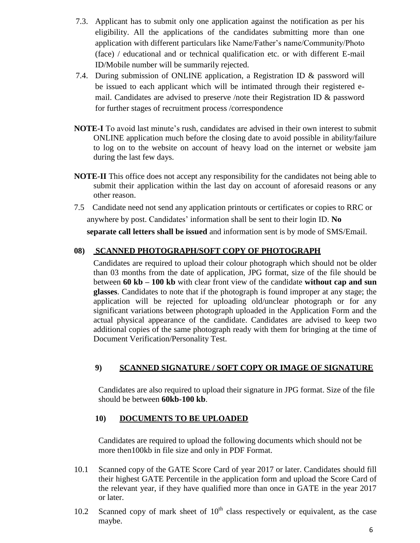- 7.3. Applicant has to submit only one application against the notification as per his eligibility. All the applications of the candidates submitting more than one application with different particulars like Name/Father's name/Community/Photo (face) / educational and or technical qualification etc. or with different E-mail ID/Mobile number will be summarily rejected.
- 7.4. During submission of ONLINE application, a Registration ID & password will be issued to each applicant which will be intimated through their registered email. Candidates are advised to preserve /note their Registration ID & password for further stages of recruitment process /correspondence
- **NOTE-I** To avoid last minute's rush, candidates are advised in their own interest to submit ONLINE application much before the closing date to avoid possible in ability/failure to log on to the website on account of heavy load on the internet or website jam during the last few days.
- **NOTE-II** This office does not accept any responsibility for the candidates not being able to submit their application within the last day on account of aforesaid reasons or any other reason.
- 7.5 Candidate need not send any application printouts or certificates or copies to RRC or anywhere by post. Candidates' information shall be sent to their login ID. **No**

**separate call letters shall be issued** and information sent is by mode of SMS/Email.

# **08) SCANNED PHOTOGRAPH/SOFT COPY OF PHOTOGRAPH**

Candidates are required to upload their colour photograph which should not be older than 03 months from the date of application, JPG format, size of the file should be between **60 kb – 100 kb** with clear front view of the candidate **without cap and sun glasses**. Candidates to note that if the photograph is found improper at any stage; the application will be rejected for uploading old/unclear photograph or for any significant variations between photograph uploaded in the Application Form and the actual physical appearance of the candidate. Candidates are advised to keep two additional copies of the same photograph ready with them for bringing at the time of Document Verification/Personality Test.

# **9) SCANNED SIGNATURE / SOFT COPY OR IMAGE OF SIGNATURE**

Candidates are also required to upload their signature in JPG format. Size of the file should be between **60kb-100 kb**.

### **10) DOCUMENTS TO BE UPLOADED**

Candidates are required to upload the following documents which should not be more then100kb in file size and only in PDF Format.

- 10.1 Scanned copy of the GATE Score Card of year 2017 or later. Candidates should fill their highest GATE Percentile in the application form and upload the Score Card of the relevant year, if they have qualified more than once in GATE in the year 2017 or later.
- 10.2 Scanned copy of mark sheet of  $10<sup>th</sup>$  class respectively or equivalent, as the case maybe.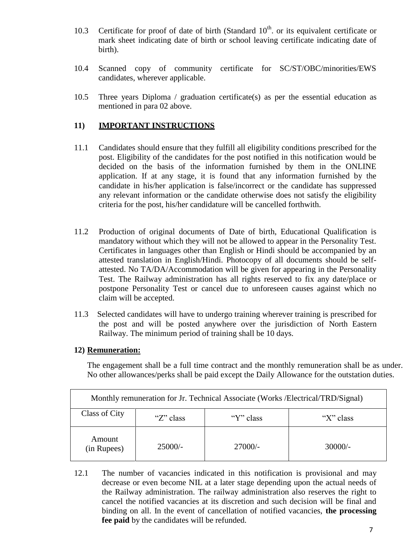- 10.3 Certificate for proof of date of birth (Standard  $10<sup>th</sup>$  or its equivalent certificate or mark sheet indicating date of birth or school leaving certificate indicating date of birth).
- 10.4 Scanned copy of community certificate for SC/ST/OBC/minorities/EWS candidates, wherever applicable.
- 10.5 Three years Diploma / graduation certificate(s) as per the essential education as mentioned in para 02 above.

### **11) IMPORTANT INSTRUCTIONS**

- 11.1 Candidates should ensure that they fulfill all eligibility conditions prescribed for the post. Eligibility of the candidates for the post notified in this notification would be decided on the basis of the information furnished by them in the ONLINE application. If at any stage, it is found that any information furnished by the candidate in his/her application is false/incorrect or the candidate has suppressed any relevant information or the candidate otherwise does not satisfy the eligibility criteria for the post, his/her candidature will be cancelled forthwith.
- 11.2 Production of original documents of Date of birth, Educational Qualification is mandatory without which they will not be allowed to appear in the Personality Test. Certificates in languages other than English or Hindi should be accompanied by an attested translation in English/Hindi. Photocopy of all documents should be selfattested. No TA/DA/Accommodation will be given for appearing in the Personality Test. The Railway administration has all rights reserved to fix any date/place or postpone Personality Test or cancel due to unforeseen causes against which no claim will be accepted.
- 11.3 Selected candidates will have to undergo training wherever training is prescribed for the post and will be posted anywhere over the jurisdiction of North Eastern Railway. The minimum period of training shall be 10 days.

#### **12) Remuneration:**

The engagement shall be a full time contract and the monthly remuneration shall be as under. No other allowances/perks shall be paid except the Daily Allowance for the outstation duties.

| Monthly remuneration for Jr. Technical Associate (Works /Electrical/TRD/Signal) |           |           |           |  |  |  |
|---------------------------------------------------------------------------------|-----------|-----------|-----------|--|--|--|
| Class of City                                                                   | "X" class |           |           |  |  |  |
| Amount<br>(in Rupees)                                                           | $25000/-$ | $27000/-$ | $30000/-$ |  |  |  |

12.1 The number of vacancies indicated in this notification is provisional and may decrease or even become NIL at a later stage depending upon the actual needs of the Railway administration. The railway administration also reserves the right to cancel the notified vacancies at its discretion and such decision will be final and binding on all. In the event of cancellation of notified vacancies, **the processing fee paid** by the candidates will be refunded.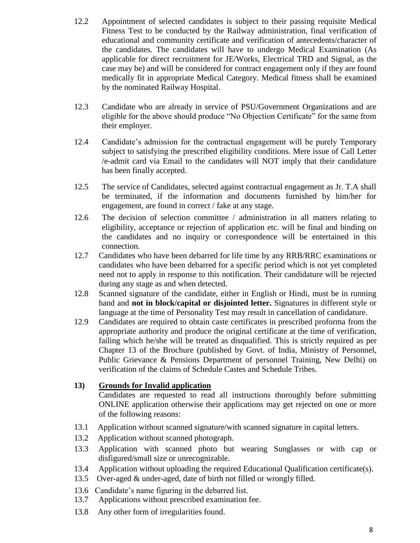- 12.2 Appointment of selected candidates is subject to their passing requisite Medical Fitness Test to be conducted by the Railway administration, final verification of educational and community certificate and verification of antecedents/character of the candidates. The candidates will have to undergo Medical Examination (As applicable for direct recruitment for JE/Works, Electrical TRD and Signal, as the case may be) and will be considered for contract engagement only if they are found medically fit in appropriate Medical Category. Medical fitness shall be examined by the nominated Railway Hospital.
- 12.3 Candidate who are already in service of PSU/Government Organizations and are eligible for the above should produce "No Objection Certificate" for the same from their employer.
- 12.4 Candidate's admission for the contractual engagement will be purely Temporary subject to satisfying the prescribed eligibility conditions. Mere issue of Call Letter /e-admit card via Email to the candidates will NOT imply that their candidature has been finally accepted.
- 12.5 The service of Candidates, selected against contractual engagement as Jr. T.A shall be terminated, if the information and documents furnished by him/her for engagement, are found in correct / fake at any stage.
- 12.6 The decision of selection committee / administration in all matters relating to eligibility, acceptance or rejection of application etc. will be final and binding on the candidates and no inquiry or correspondence will be entertained in this connection.
- 12.7 Candidates who have been debarred for life time by any RRB/RRC examinations or candidates who have been debarred for a specific period which is not yet completed need not to apply in response to this notification. Their candidature will be rejected during any stage as and when detected.
- 12.8 Scanned signature of the candidate, either in English or Hindi, must be in running hand and **not in block/capital or disjointed letter.** Signatures in different style or language at the time of Personality Test may result in cancellation of candidature.
- 12.9 Candidates are required to obtain caste certificates in prescribed proforma from the appropriate authority and produce the original certificate at the time of verification, failing which he/she will be treated as disqualified. This is strictly required as per Chapter 13 of the Brochure (published by Govt. of India, Ministry of Personnel, Public Grievance & Pensions Department of personnel Training, New Delhi) on verification of the claims of Schedule Castes and Schedule Tribes.

### **13) Grounds for Invalid application**

Candidates are requested to read all instructions thoroughly before submitting ONLINE application otherwise their applications may get rejected on one or more of the following reasons:

- 13.1 Application without scanned signature/with scanned signature in capital letters.
- 13.2 Application without scanned photograph.
- 13.3 Application with scanned photo but wearing Sunglasses or with cap or disfigured/small size or unrecognizable.
- 13.4 Application without uploading the required Educational Qualification certificate(s).
- 13.5 Over-aged & under-aged, date of birth not filled or wrongly filled.
- 13.6 Candidate's name figuring in the debarred list.
- 13.7 Applications without prescribed examination fee.
- 13.8 Any other form of irregularities found.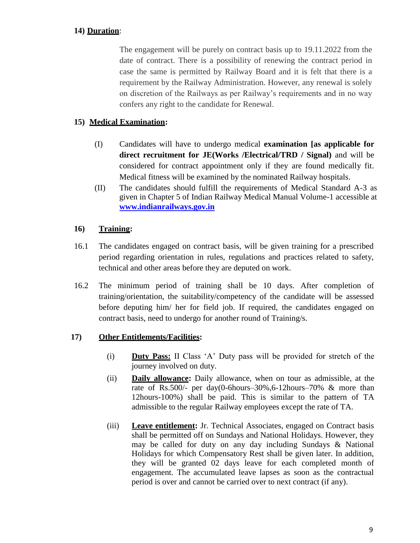# **14) Duration**:

The engagement will be purely on contract basis up to 19.11.2022 from the date of contract. There is a possibility of renewing the contract period in case the same is permitted by Railway Board and it is felt that there is a requirement by the Railway Administration. However, any renewal is solely on discretion of the Railways as per Railway's requirements and in no way confers any right to the candidate for Renewal.

## **15) Medical Examination:**

- (I) Candidates will have to undergo medical **examination [as applicable for direct recruitment for JE(Works /Electrical/TRD / Signal)** and will be considered for contract appointment only if they are found medically fit. Medical fitness will be examined by the nominated Railway hospitals.
- (II) The candidates should fulfill the requirements of Medical Standard A-3 as given in Chapter 5 of Indian Railway Medical Manual Volume-1 accessible at **[www.indianrailways.gov.in](http://www.indianrailways.gov.in/)**

### **16) Training:**

- 16.1 The candidates engaged on contract basis, will be given training for a prescribed period regarding orientation in rules, regulations and practices related to safety, technical and other areas before they are deputed on work.
- 16.2 The minimum period of training shall be 10 days. After completion of training/orientation, the suitability/competency of the candidate will be assessed before deputing him/ her for field job. If required, the candidates engaged on contract basis, need to undergo for another round of Training/s.

# **17) Other Entitlements/Facilities:**

- (i) **Duty Pass:** II Class 'A' Duty pass will be provided for stretch of the journey involved on duty.
- (ii) **Daily allowance:** Daily allowance, when on tour as admissible, at the rate of Rs.500/- per day(0-6hours–30%,6-12hours–70% & more than 12hours-100%) shall be paid. This is similar to the pattern of TA admissible to the regular Railway employees except the rate of TA.
- (iii) **Leave entitlement:** Jr. Technical Associates, engaged on Contract basis shall be permitted off on Sundays and National Holidays. However, they may be called for duty on any day including Sundays & National Holidays for which Compensatory Rest shall be given later. In addition, they will be granted 02 days leave for each completed month of engagement. The accumulated leave lapses as soon as the contractual period is over and cannot be carried over to next contract (if any).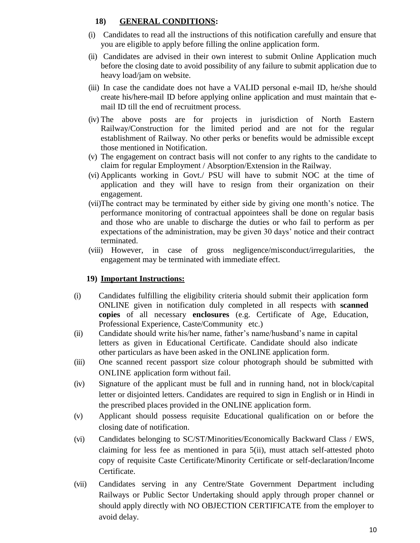### **18) GENERAL CONDITIONS:**

- (i) Candidates to read all the instructions of this notification carefully and ensure that you are eligible to apply before filling the online application form.
- (ii) Candidates are advised in their own interest to submit Online Application much before the closing date to avoid possibility of any failure to submit application due to heavy load/jam on website.
- (iii) In case the candidate does not have a VALID personal e-mail ID, he/she should create his/here-mail ID before applying online application and must maintain that email ID till the end of recruitment process.
- (iv) The above posts are for projects in jurisdiction of North Eastern Railway/Construction for the limited period and are not for the regular establishment of Railway. No other perks or benefits would be admissible except those mentioned in Notification.
- (v) The engagement on contract basis will not confer to any rights to the candidate to claim for regular Employment / Absorption/Extension in the Railway.
- (vi) Applicants working in Govt./ PSU will have to submit NOC at the time of application and they will have to resign from their organization on their engagement.
- (vii)The contract may be terminated by either side by giving one month's notice. The performance monitoring of contractual appointees shall be done on regular basis and those who are unable to discharge the duties or who fail to perform as per expectations of the administration, may be given 30 days' notice and their contract terminated.
- (viii) However, in case of gross negligence/misconduct/irregularities, the engagement may be terminated with immediate effect.

### **19) Important Instructions:**

- (i) Candidates fulfilling the eligibility criteria should submit their application form ONLINE given in notification duly completed in all respects with **scanned copies** of all necessary **enclosures** (e.g. Certificate of Age, Education, Professional Experience, Caste/Community etc.)
- (ii) Candidate should write his/her name, father's name/husband's name in capital letters as given in Educational Certificate. Candidate should also indicate other particulars as have been asked in the ONLINE application form.
- (iii) One scanned recent passport size colour photograph should be submitted with ONLINE application form without fail.
- (iv) Signature of the applicant must be full and in running hand, not in block/capital letter or disjointed letters. Candidates are required to sign in English or in Hindi in the prescribed places provided in the ONLINE application form.
- (v) Applicant should possess requisite Educational qualification on or before the closing date of notification.
- (vi) Candidates belonging to SC/ST/Minorities/Economically Backward Class / EWS, claiming for less fee as mentioned in para 5(ii), must attach self-attested photo copy of requisite Caste Certificate/Minority Certificate or self-declaration/Income Certificate.
- (vii) Candidates serving in any Centre/State Government Department including Railways or Public Sector Undertaking should apply through proper channel or should apply directly with NO OBJECTION CERTIFICATE from the employer to avoid delay.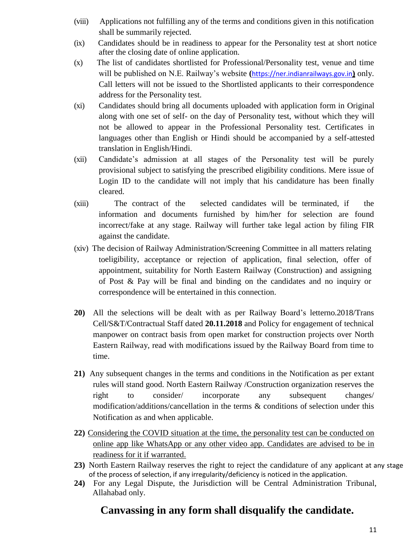- (viii) Applications not fulfilling any of the terms and conditions given in this notification shall be summarily rejected.
- (ix) Candidates should be in readiness to appear for the Personality test at short notice after the closing date of online application.
- (x) The list of candidates shortlisted for Professional/Personality test, venue and time will be published on N.E. Railway's website **(**[https://ner.indianrailways.gov.in](https://ner.indianrailways.gov.in/)**)** only. Call letters will not be issued to the Shortlisted applicants to their correspondence address for the Personality test.
- (xi) Candidates should bring all documents uploaded with application form in Original along with one set of self- on the day of Personality test, without which they will not be allowed to appear in the Professional Personality test. Certificates in languages other than English or Hindi should be accompanied by a self-attested translation in English/Hindi.
- (xii) Candidate's admission at all stages of the Personality test will be purely provisional subject to satisfying the prescribed eligibility conditions. Mere issue of Login ID to the candidate will not imply that his candidature has been finally cleared.
- (xiii) The contract of the selected candidates will be terminated, if the information and documents furnished by him/her for selection are found incorrect/fake at any stage. Railway will further take legal action by filing FIR against the candidate.
- (xiv) The decision of Railway Administration/Screening Committee in all matters relating toeligibility, acceptance or rejection of application, final selection, offer of appointment, suitability for North Eastern Railway (Construction) and assigning of Post & Pay will be final and binding on the candidates and no inquiry or correspondence will be entertained in this connection.
- **20)** All the selections will be dealt with as per Railway Board's letterno.2018/Trans Cell/S&T/Contractual Staff dated **20.11.2018** and Policy for engagement of technical manpower on contract basis from open market for construction projects over North Eastern Railway, read with modifications issued by the Railway Board from time to time.
- **21)** Any subsequent changes in the terms and conditions in the Notification as per extant rules will stand good. North Eastern Railway /Construction organization reserves the right to consider/ incorporate any subsequent changes/ modification/additions/cancellation in the terms & conditions of selection under this Notification as and when applicable.
- **22)** Considering the COVID situation at the time, the personality test can be conducted on online app like WhatsApp or any other video app. Candidates are advised to be in readiness for it if warranted.
- **23)** North Eastern Railway reserves the right to reject the candidature of any applicant at any stage of the process of selection, if any irregularity/deficiency is noticed in the application.
- **24)** For any Legal Dispute, the Jurisdiction will be Central Administration Tribunal, Allahabad only.

# **Canvassing in any form shall disqualify the candidate.**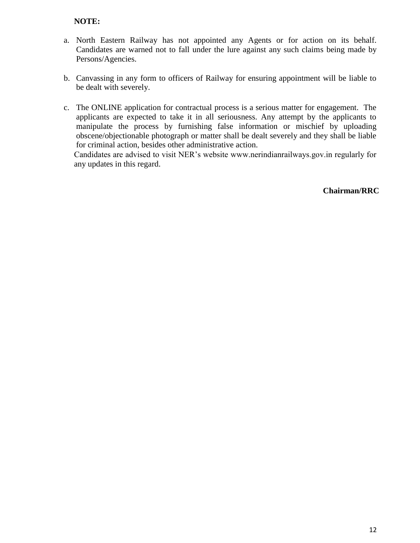#### **NOTE:**

- a. North Eastern Railway has not appointed any Agents or for action on its behalf. Candidates are warned not to fall under the lure against any such claims being made by Persons/Agencies.
- b. Canvassing in any form to officers of Railway for ensuring appointment will be liable to be dealt with severely.
- c. The ONLINE application for contractual process is a serious matter for engagement. The applicants are expected to take it in all seriousness. Any attempt by the applicants to manipulate the process by furnishing false information or mischief by uploading obscene/objectionable photograph or matter shall be dealt severely and they shall be liable for criminal action, besides other administrative action.

Candidates are advised to visit NER's website www.nerindianrailways.gov.in regularly for any updates in this regard.

#### **Chairman/RRC**